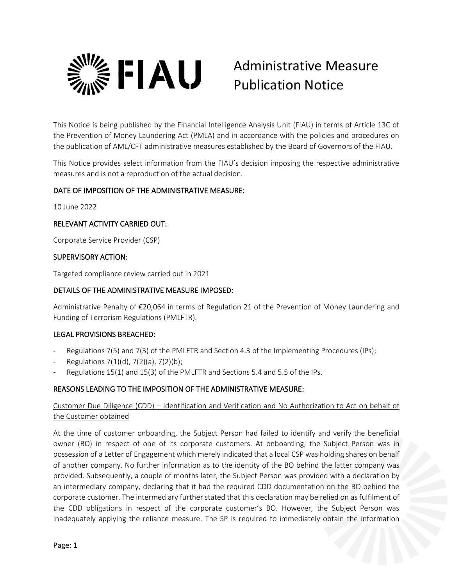

# Administrative Measure Publication Notice

This Notice is being published by the Financial Intelligence Analysis Unit (FIAU) in terms of Article 13C of the Prevention of Money Laundering Act (PMLA) and in accordance with the policies and procedures on the publication of AML/CFT administrative measures established by the Board of Governors of the FIAU.

This Notice provides select information from the FIAU's decision imposing the respective administrative measures and is not a reproduction of the actual decision.

## DATE OF IMPOSITION OF THE ADMINISTRATIVE MEASURE:

10 June 2022

#### RELEVANT ACTIVITY CARRIED OUT:

Corporate Service Provider (CSP)

## SUPERVISORY ACTION:

Targeted compliance review carried out in 2021

## DETAILS OF THE ADMINISTRATIVE MEASURE IMPOSED:

Administrative Penalty of €20,064 in terms of Regulation 21 of the Prevention of Money Laundering and Funding of Terrorism Regulations (PMLFTR).

## LEGAL PROVISIONS BREACHED:

- Regulations 7(5) and 7(3) of the PMLFTR and Section 4.3 of the Implementing Procedures (IPs);
- Regulations 7(1)(d), 7(2)(a), 7(2)(b);
- Regulations 15(1) and 15(3) of the PMLFTR and Sections 5.4 and 5.5 of the IPs.

## REASONS LEADING TO THE IMPOSITION OF THE ADMINISTRATIVE MEASURE:

## Customer Due Diligence (CDD) – Identification and Verification and No Authorization to Act on behalf of the Customer obtained

At the time of customer onboarding, the Subject Person had failed to identify and verify the beneficial owner (BO) in respect of one of its corporate customers. At onboarding, the Subject Person was in possession of a Letter of Engagement which merely indicated that a local CSP was holding shares on behalf of another company. No further information as to the identity of the BO behind the latter company was provided. Subsequently, a couple of months later, the Subject Person was provided with a declaration by an intermediary company, declaring that it had the required CDD documentation on the BO behind the corporate customer. The intermediary further stated that this declaration may be relied on as fulfilment of the CDD obligations in respect of the corporate customer's BO. However, the Subject Person was inadequately applying the reliance measure. The SP is required to immediately obtain the information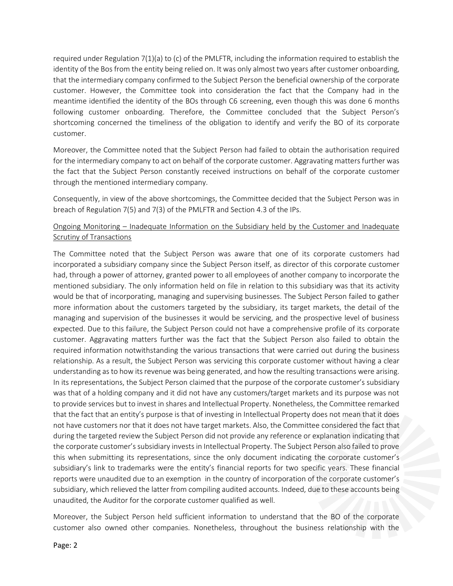required under Regulation 7(1)(a) to (c) of the PMLFTR, including the information required to establish the identity of the Bos from the entity being relied on. It was only almost two years after customer onboarding, that the intermediary company confirmed to the Subject Person the beneficial ownership of the corporate customer. However, the Committee took into consideration the fact that the Company had in the meantime identified the identity of the BOs through C6 screening, even though this was done 6 months following customer onboarding. Therefore, the Committee concluded that the Subject Person's shortcoming concerned the timeliness of the obligation to identify and verify the BO of its corporate customer.

Moreover, the Committee noted that the Subject Person had failed to obtain the authorisation required for the intermediary company to act on behalf of the corporate customer. Aggravating matters further was the fact that the Subject Person constantly received instructions on behalf of the corporate customer through the mentioned intermediary company.

Consequently, in view of the above shortcomings, the Committee decided that the Subject Person was in breach of Regulation 7(5) and 7(3) of the PMLFTR and Section 4.3 of the IPs.

## Ongoing Monitoring – Inadequate Information on the Subsidiary held by the Customer and Inadequate Scrutiny of Transactions

The Committee noted that the Subject Person was aware that one of its corporate customers had incorporated a subsidiary company since the Subject Person itself, as director of this corporate customer had, through a power of attorney, granted power to all employees of another company to incorporate the mentioned subsidiary. The only information held on file in relation to this subsidiary was that its activity would be that of incorporating, managing and supervising businesses. The Subject Person failed to gather more information about the customers targeted by the subsidiary, its target markets, the detail of the managing and supervision of the businesses it would be servicing, and the prospective level of business expected. Due to this failure, the Subject Person could not have a comprehensive profile of its corporate customer. Aggravating matters further was the fact that the Subject Person also failed to obtain the required information notwithstanding the various transactions that were carried out during the business relationship. As a result, the Subject Person was servicing this corporate customer without having a clear understanding as to how its revenue was being generated, and how the resulting transactions were arising. In its representations, the Subject Person claimed that the purpose of the corporate customer's subsidiary was that of a holding company and it did not have any customers/target markets and its purpose was not to provide services but to invest in shares and Intellectual Property. Nonetheless, the Committee remarked that the fact that an entity's purpose is that of investing in Intellectual Property does not mean that it does not have customers nor that it does not have target markets. Also, the Committee considered the fact that during the targeted review the Subject Person did not provide any reference or explanation indicating that the corporate customer's subsidiary invests in Intellectual Property. The Subject Person also failed to prove this when submitting its representations, since the only document indicating the corporate customer's subsidiary's link to trademarks were the entity's financial reports for two specific years. These financial reports were unaudited due to an exemption in the country of incorporation of the corporate customer's subsidiary, which relieved the latter from compiling audited accounts. Indeed, due to these accounts being unaudited, the Auditor for the corporate customer qualified as well.

Moreover, the Subject Person held sufficient information to understand that the BO of the corporate customer also owned other companies. Nonetheless, throughout the business relationship with the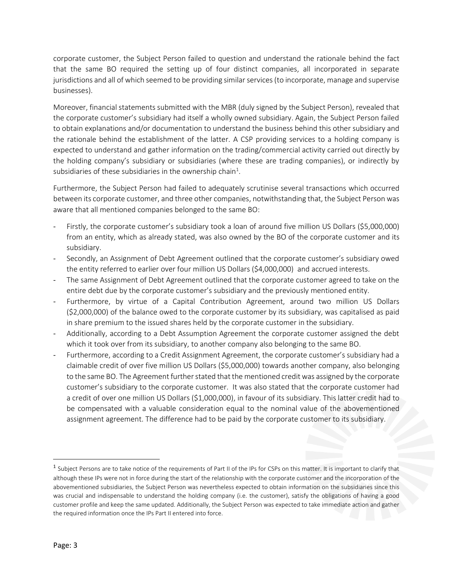corporate customer, the Subject Person failed to question and understand the rationale behind the fact that the same BO required the setting up of four distinct companies, all incorporated in separate jurisdictions and all of which seemed to be providing similar services (to incorporate, manage and supervise businesses).

Moreover, financial statements submitted with the MBR (duly signed by the Subject Person), revealed that the corporate customer's subsidiary had itself a wholly owned subsidiary. Again, the Subject Person failed to obtain explanations and/or documentation to understand the business behind this other subsidiary and the rationale behind the establishment of the latter. A CSP providing services to a holding company is expected to understand and gather information on the trading/commercial activity carried out directly by the holding company's subsidiary or subsidiaries (where these are trading companies), or indirectly by subsidiaries of these subsidiaries in the ownership chain $^1$ .

Furthermore, the Subject Person had failed to adequately scrutinise several transactions which occurred between its corporate customer, and three other companies, notwithstanding that, the Subject Person was aware that all mentioned companies belonged to the same BO:

- Firstly, the corporate customer's subsidiary took a loan of around five million US Dollars (\$5,000,000) from an entity, which as already stated, was also owned by the BO of the corporate customer and its subsidiary.
- Secondly, an Assignment of Debt Agreement outlined that the corporate customer's subsidiary owed the entity referred to earlier over four million US Dollars (\$4,000,000) and accrued interests.
- The same Assignment of Debt Agreement outlined that the corporate customer agreed to take on the entire debt due by the corporate customer's subsidiary and the previously mentioned entity.
- Furthermore, by virtue of a Capital Contribution Agreement, around two million US Dollars (\$2,000,000) of the balance owed to the corporate customer by its subsidiary, was capitalised as paid in share premium to the issued shares held by the corporate customer in the subsidiary.
- Additionally, according to a Debt Assumption Agreement the corporate customer assigned the debt which it took over from its subsidiary, to another company also belonging to the same BO.
- Furthermore, according to a Credit Assignment Agreement, the corporate customer's subsidiary had a claimable credit of over five million US Dollars (\$5,000,000) towards another company, also belonging to the same BO. The Agreement further stated that the mentioned credit was assigned by the corporate customer's subsidiary to the corporate customer. It was also stated that the corporate customer had a credit of over one million US Dollars (\$1,000,000), in favour of its subsidiary. This latter credit had to be compensated with a valuable consideration equal to the nominal value of the abovementioned assignment agreement. The difference had to be paid by the corporate customer to its subsidiary.

 $^1$  Subject Persons are to take notice of the requirements of Part II of the IPs for CSPs on this matter. It is important to clarify that although these IPs were not in force during the start of the relationship with the corporate customer and the incorporation of the abovementioned subsidiaries, the Subject Person was nevertheless expected to obtain information on the subsidiaries since this was crucial and indispensable to understand the holding company (i.e. the customer), satisfy the obligations of having a good customer profile and keep the same updated. Additionally, the Subject Person was expected to take immediate action and gather the required information once the IPs Part II entered into force.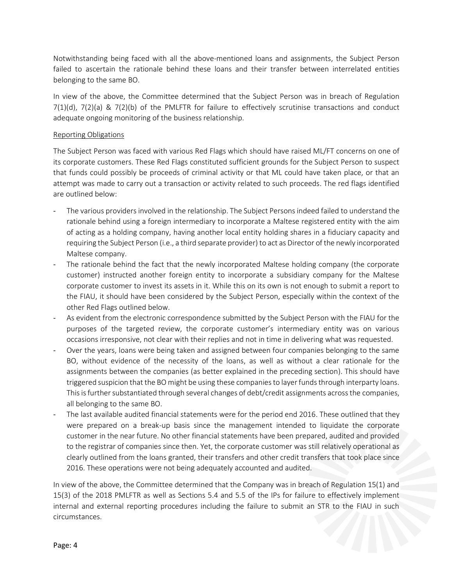Notwithstanding being faced with all the above-mentioned loans and assignments, the Subject Person failed to ascertain the rationale behind these loans and their transfer between interrelated entities belonging to the same BO.

In view of the above, the Committee determined that the Subject Person was in breach of Regulation  $7(1)(d)$ ,  $7(2)(a)$  &  $7(2)(b)$  of the PMLFTR for failure to effectively scrutinise transactions and conduct adequate ongoing monitoring of the business relationship.

## Reporting Obligations

The Subject Person was faced with various Red Flags which should have raised ML/FT concerns on one of its corporate customers. These Red Flags constituted sufficient grounds for the Subject Person to suspect that funds could possibly be proceeds of criminal activity or that ML could have taken place, or that an attempt was made to carry out a transaction or activity related to such proceeds. The red flags identified are outlined below:

- The various providers involved in the relationship. The Subject Persons indeed failed to understand the rationale behind using a foreign intermediary to incorporate a Maltese registered entity with the aim of acting as a holding company, having another local entity holding shares in a fiduciary capacity and requiring the Subject Person (i.e., a third separate provider) to act as Director of the newly incorporated Maltese company.
- The rationale behind the fact that the newly incorporated Maltese holding company (the corporate customer) instructed another foreign entity to incorporate a subsidiary company for the Maltese corporate customer to invest its assets in it. While this on its own is not enough to submit a report to the FIAU, it should have been considered by the Subject Person, especially within the context of the other Red Flags outlined below.
- As evident from the electronic correspondence submitted by the Subject Person with the FIAU for the purposes of the targeted review, the corporate customer's intermediary entity was on various occasions irresponsive, not clear with their replies and not in time in delivering what was requested.
- Over the years, loans were being taken and assigned between four companies belonging to the same BO, without evidence of the necessity of the loans, as well as without a clear rationale for the assignments between the companies (as better explained in the preceding section). This should have triggered suspicion that the BO might be using these companies to layer funds through interparty loans. This is further substantiated through several changes of debt/credit assignments across the companies, all belonging to the same BO.
- The last available audited financial statements were for the period end 2016. These outlined that they were prepared on a break-up basis since the management intended to liquidate the corporate customer in the near future. No other financial statements have been prepared, audited and provided to the registrar of companies since then. Yet, the corporate customer was still relatively operational as clearly outlined from the loans granted, their transfers and other credit transfers that took place since 2016. These operations were not being adequately accounted and audited.

In view of the above, the Committee determined that the Company was in breach of Regulation 15(1) and 15(3) of the 2018 PMLFTR as well as Sections 5.4 and 5.5 of the IPs for failure to effectively implement internal and external reporting procedures including the failure to submit an STR to the FIAU in such circumstances.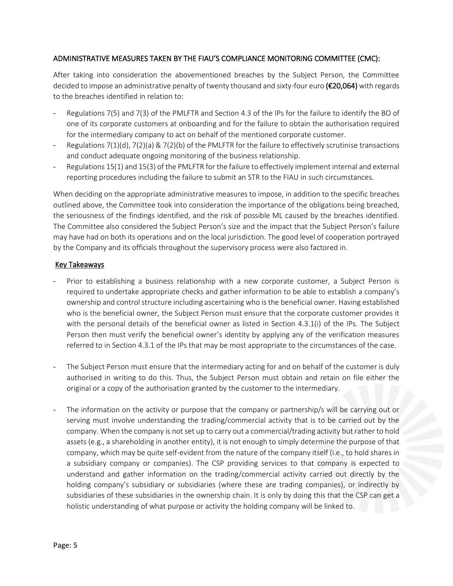## ADMINISTRATIVE MEASURES TAKEN BY THE FIAU'S COMPLIANCE MONITORING COMMITTEE (CMC):

After taking into consideration the abovementioned breaches by the Subject Person, the Committee decided to impose an administrative penalty of twenty thousand and sixty-four euro (€20,064) with regards to the breaches identified in relation to:

- Regulations 7(5) and 7(3) of the PMLFTR and Section 4.3 of the IPs for the failure to identify the BO of one of its corporate customers at onboarding and for the failure to obtain the authorisation required for the intermediary company to act on behalf of the mentioned corporate customer.
- Regulations 7(1)(d), 7(2)(a) & 7(2)(b) of the PMLFTR for the failure to effectively scrutinise transactions and conduct adequate ongoing monitoring of the business relationship.
- Regulations 15(1) and 15(3) of the PMLFTR for the failure to effectively implement internal and external reporting procedures including the failure to submit an STR to the FIAU in such circumstances.

When deciding on the appropriate administrative measures to impose, in addition to the specific breaches outlined above, the Committee took into consideration the importance of the obligations being breached, the seriousness of the findings identified, and the risk of possible ML caused by the breaches identified. The Committee also considered the Subject Person's size and the impact that the Subject Person's failure may have had on both its operations and on the local jurisdiction. The good level of cooperation portrayed by the Company and its officials throughout the supervisory process were also factored in.

## Key Takeaways

- Prior to establishing a business relationship with a new corporate customer, a Subject Person is required to undertake appropriate checks and gather information to be able to establish a company's ownership and control structure including ascertaining who is the beneficial owner. Having established who is the beneficial owner, the Subject Person must ensure that the corporate customer provides it with the personal details of the beneficial owner as listed in Section 4.3.1(i) of the IPs. The Subject Person then must verify the beneficial owner's identity by applying any of the verification measures referred to in Section 4.3.1 of the IPs that may be most appropriate to the circumstances of the case.
- The Subject Person must ensure that the intermediary acting for and on behalf of the customer is duly authorised in writing to do this. Thus, the Subject Person must obtain and retain on file either the original or a copy of the authorisation granted by the customer to the intermediary.
- The information on the activity or purpose that the company or partnership/s will be carrying out or serving must involve understanding the trading/commercial activity that is to be carried out by the company. When the company is not set up to carry out a commercial/trading activity but rather to hold assets (e.g., a shareholding in another entity), it is not enough to simply determine the purpose of that company, which may be quite self-evident from the nature of the company itself (i.e., to hold shares in a subsidiary company or companies). The CSP providing services to that company is expected to understand and gather information on the trading/commercial activity carried out directly by the holding company's subsidiary or subsidiaries (where these are trading companies), or indirectly by subsidiaries of these subsidiaries in the ownership chain. It is only by doing this that the CSP can get a holistic understanding of what purpose or activity the holding company will be linked to.